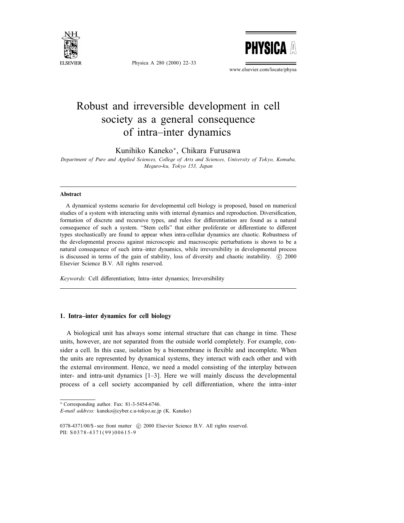

Physica A 280 (2000) 22–33



www.elsevier.com/locate/physa

# Robust and irreversible development in cell society as a general consequence of intra–inter dynamics

Kunihiko Kaneko∗, Chikara Furusawa

Department of Pure and Applied Sciences, College of Arts and Sciences, University of Tokyo, Komaba, Meguro-ku, Tokyo 153, Japan

#### Abstract

A dynamical systems scenario for developmental cell biology is proposed, based on numerical studies of a system with interacting units with internal dynamics and reproduction. Diversification, formation of discrete and recursive types, and rules for differentiation are found as a natural consequence of such a system. "Stem cells" that either proliferate or differentiate to different types stochastically are found to appear when intra-cellular dynamics are chaotic. Robustness of the developmental process against microscopic and macroscopic perturbations is shown to be a natural consequence of such intra–inter dynamics, while irreversibility in developmental process is discussed in terms of the gain of stability, loss of diversity and chaotic instability.  $\odot$  2000 Elsevier Science B.V. All rights reserved.

Keywords: Cell differentiation; Intra-inter dynamics; Irreversibility

### 1. Intra–inter dynamics for cell biology

A biological unit has always some internal structure that can change in time. These units, however, are not separated from the outside world completely. For example, consider a cell. In this case, isolation by a biomembrane is flexible and incomplete. When the units are represented by dynamical systems, they interact with each other and with the external environment. Hence, we need a model consisting of the interplay between inter- and intra-unit dynamics [1–3]. Here we will mainly discuss the developmental process of a cell society accompanied by cell differentiation, where the intra–inter

<sup>∗</sup> Corresponding author. Fax: 81-3-5454-6746.

E-mail address: kaneko@cyber.c.u-tokyo.ac.jp (K. Kaneko)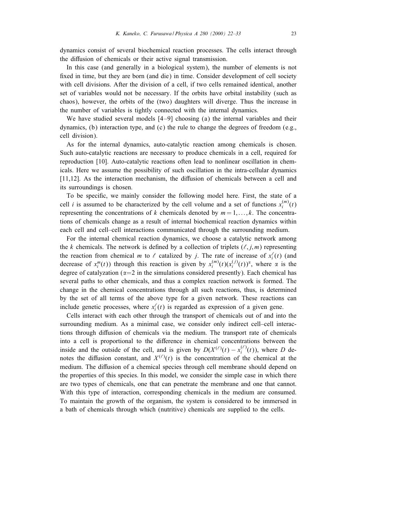dynamics consist of several biochemical reaction processes. The cells interact through the diffusion of chemicals or their active signal transmission.

In this case (and generally in a biological system), the number of elements is not fixed in time, but they are born (and die) in time. Consider development of cell society with cell divisions. After the division of a cell, if two cells remained identical, another set of variables would not be necessary. If the orbits have orbital instability (such as chaos), however, the orbits of the (two) daughters will diverge. Thus the increase in the number of variables is tightly connected with the internal dynamics.

We have studied several models  $[4-9]$  choosing (a) the internal variables and their dynamics, (b) interaction type, and (c) the rule to change the degrees of freedom (e.g., cell division).

As for the internal dynamics, auto-catalytic reaction among chemicals is chosen. Such auto-catalytic reactions are necessary to produce chemicals in a cell, required for reproduction [10]. Auto-catalytic reactions often lead to nonlinear oscillation in chemicals. Here we assume the possibility of such oscillation in the intra-cellular dynamics  $[11,12]$ . As the interaction mechanism, the diffusion of chemicals between a cell and its surroundings is chosen.

To be specific, we mainly consider the following model here. First, the state of a cell *i* is assumed to be characterized by the cell volume and a set of functions  $x_i^{(m)}(t)$ representing the concentrations of k chemicals denoted by  $m = 1, \ldots, k$ . The concentrations of chemicals change as a result of internal biochemical reaction dynamics within each cell and cell–cell interactions communicated through the surrounding medium.

For the internal chemical reaction dynamics, we choose a catalytic network among the k chemicals. The network is defined by a collection of triplets  $(\ell, j, m)$  representing the reaction from chemical m to  $\ell$  catalized by j. The rate of increase of  $x_i^{\ell}(t)$  (and decrease of  $x_i^m(t)$ ) through this reaction is given by  $x_i^{(m)}(t)(x_i^{(j)}(t))^{\alpha}$ , where  $\alpha$  is the degree of catalyzation ( $\alpha = 2$  in the simulations considered presently). Each chemical has several paths to other chemicals, and thus a complex reaction network is formed. The change in the chemical concentrations through all such reactions, thus, is determined by the set of all terms of the above type for a given network. These reactions can include genetic processes, where  $x_i^{\ell}(t)$  is regarded as expression of a given gene.

Cells interact with each other through the transport of chemicals out of and into the surrounding medium. As a minimal case, we consider only indirect cell–cell interactions through diffusion of chemicals via the medium. The transport rate of chemicals into a cell is proportional to the difference in chemical concentrations between the inside and the outside of the cell, and is given by  $D(X^{(\ell)}(t) - x_i^{(\ell)}(t))$ , where D denotes the diffusion constant, and  $X^{(\ell)}(t)$  is the concentration of the chemical at the medium. The diffusion of a chemical species through cell membrane should depend on the properties of this species. In this model, we consider the simple case in which there are two types of chemicals, one that can penetrate the membrane and one that cannot. With this type of interaction, corresponding chemicals in the medium are consumed. To maintain the growth of the organism, the system is considered to be immersed in a bath of chemicals through which (nutritive) chemicals are supplied to the cells.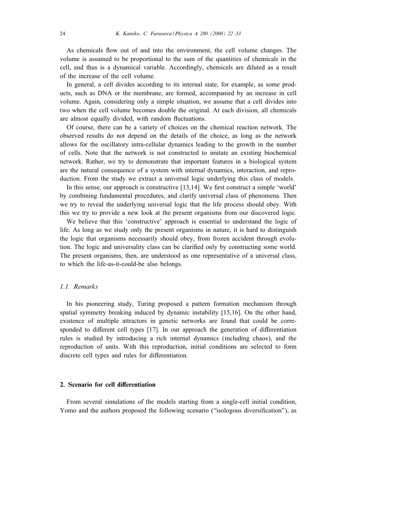As chemicals flow out of and into the environment, the cell volume changes. The volume is assumed to be proportional to the sum of the quantities of chemicals in the cell, and thus is a dynamical variable. Accordingly, chemicals are diluted as a result of the increase of the cell volume.

In general, a cell divides according to its internal state, for example, as some products, such as DNA or the membrane, are formed, accompanied by an increase in cell volume. Again, considering only a simple situation, we assume that a cell divides into two when the cell volume becomes double the original. At each division, all chemicals are almost equally divided, with random fluctuations.

Of course, there can be a variety of choices on the chemical reaction network. The observed results do not depend on the details of the choice, as long as the network allows for the oscillatory intra-cellular dynamics leading to the growth in the number of cells. Note that the network is not constructed to imitate an existing biochemical network. Rather, we try to demonstrate that important features in a biological system are the natural consequence of a system with internal dynamics, interaction, and reproduction. From the study we extract a universal logic underlying this class of models.

In this sense, our approach is constructive  $[13,14]$ . We first construct a simple 'world' by combining fundamental procedures, and clarify universal class of phenomena. Then we try to reveal the underlying universal logic that the life process should obey. With this we try to provide a new look at the present organisms from our discovered logic.

We believe that this 'constructive' approach is essential to understand the logic of life. As long as we study only the present organisms in nature, it is hard to distinguish the logic that organisms necessarily should obey, from frozen accident through evolution. The logic and universality class can be claried only by constructing some world. The present organisms, then, are understood as one representative of a universal class, to which the life-as-it-could-be also belongs.

# 1.1. Remarks

In his pioneering study, Turing proposed a pattern formation mechanism through spatial symmetry breaking induced by dynamic instability [15,16]. On the other hand, existence of multiple attractors in genetic networks are found that could be corresponded to different cell types [17]. In our approach the generation of differentiation rules is studied by introducing a rich internal dynamics (including chaos), and the reproduction of units. With this reproduction, initial conditions are selected to form discrete cell types and rules for differentiation.

## 2. Scenario for cell differentiation

From several simulations of the models starting from a single-cell initial condition, Yomo and the authors proposed the following scenario ("isologous diversification"), as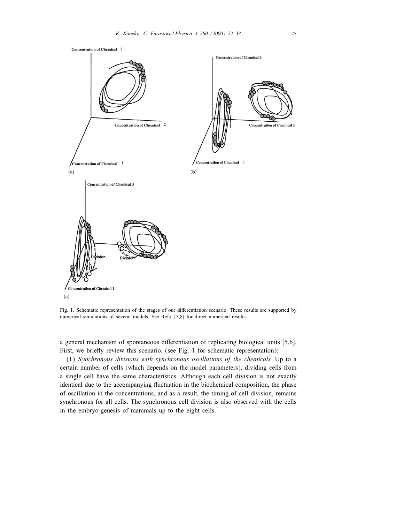

Fig. 1. Schematic representation of the stages of our differentiation scenario. These results are supported by numerical simulations of several models. See Refs. [5,8] for direct numerical results.

a general mechanism of spontaneous differentiation of replicating biological units [5,6]. First, we briefly review this scenario. (see Fig. 1 for schematic representation):

(1) Synchronous divisions with synchronous oscillations of the chemicals. Up to a certain number of cells (which depends on the model parameters), dividing cells from a single cell have the same characteristics. Although each cell division is not exactly identical due to the accompanying fluctuation in the biochemical composition, the phase of oscillation in the concentrations, and as a result, the timing of cell division, remains synchronous for all cells. The synchronous cell division is also observed with the cells in the embryo-genesis of mammals up to the eight cells.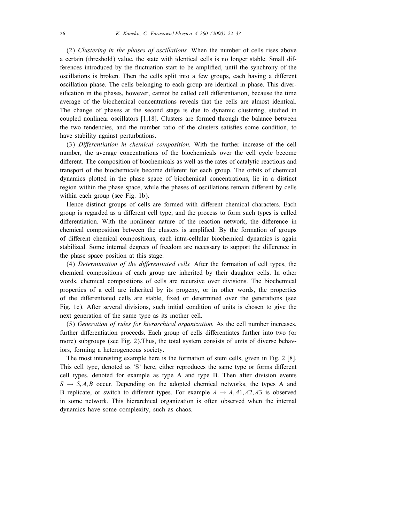(2) Clustering in the phases of oscillations. When the number of cells rises above a certain (threshold) value, the state with identical cells is no longer stable. Small differences introduced by the fluctuation start to be amplified, until the synchrony of the oscillations is broken. Then the cells split into a few groups, each having a different oscillation phase. The cells belonging to each group are identical in phase. This diversification in the phases, however, cannot be called cell differentiation, because the time average of the biochemical concentrations reveals that the cells are almost identical. The change of phases at the second stage is due to dynamic clustering, studied in coupled nonlinear oscillators [1,18]. Clusters are formed through the balance between the two tendencies, and the number ratio of the clusters satisfies some condition, to have stability against perturbations.

 $(3)$  Differentiation in chemical composition. With the further increase of the cell number, the average concentrations of the biochemicals over the cell cycle become different. The composition of biochemicals as well as the rates of catalytic reactions and transport of the biochemicals become different for each group. The orbits of chemical dynamics plotted in the phase space of biochemical concentrations, lie in a distinct region within the phase space, while the phases of oscillations remain different by cells within each group (see Fig. 1b).

Hence distinct groups of cells are formed with different chemical characters. Each group is regarded as a different cell type, and the process to form such types is called differentiation. With the nonlinear nature of the reaction network, the difference in chemical composition between the clusters is amplied. By the formation of groups of different chemical compositions, each intra-cellular biochemical dynamics is again stabilized. Some internal degrees of freedom are necessary to support the difference in the phase space position at this stage.

 $(4)$  Determination of the differentiated cells. After the formation of cell types, the chemical compositions of each group are inherited by their daughter cells. In other words, chemical compositions of cells are recursive over divisions. The biochemical properties of a cell are inherited by its progeny, or in other words, the properties of the differentiated cells are stable, fixed or determined over the generations (see Fig. 1c). After several divisions, such initial condition of units is chosen to give the next generation of the same type as its mother cell.

(5) Generation of rules for hierarchical organization. As the cell number increases, further differentiation proceeds. Each group of cells differentiates further into two (or more) subgroups (see Fig. 2).Thus, the total system consists of units of diverse behaviors, forming a heterogeneous society.

The most interesting example here is the formation of stem cells, given in Fig. 2 [8]. This cell type, denoted as 'S' here, either reproduces the same type or forms different cell types, denoted for example as type A and type B. Then after division events  $S \rightarrow S, A, B$  occur. Depending on the adopted chemical networks, the types A and B replicate, or switch to different types. For example  $A \rightarrow A, A1, A2, A3$  is observed in some network. This hierarchical organization is often observed when the internal dynamics have some complexity, such as chaos.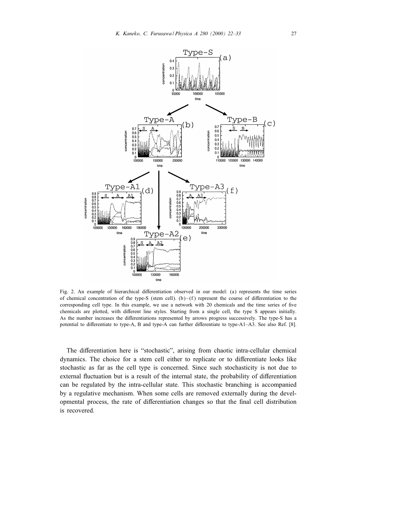

Fig. 2. An example of hierarchical differentiation observed in our model: (a) represents the time series of chemical concentration of the type-S (stem cell). (b) $-(f)$  represent the course of differentiation to the corresponding cell type. In this example, we use a network with 20 chemicals and the time series of five chemicals are plotted, with different line styles. Starting from a single cell, the type S appears initially. As the number increases the differentiations represented by arrows progress successively. The type-S has a potential to differentiate to type-A, B and type-A can further differentiate to type-A1–A3. See also Ref. [8].

The differentiation here is "stochastic", arising from chaotic intra-cellular chemical dynamics. The choice for a stem cell either to replicate or to differentiate looks like stochastic as far as the cell type is concerned. Since such stochasticity is not due to external fluctuation but is a result of the internal state, the probability of differentiation can be regulated by the intra-cellular state. This stochastic branching is accompanied by a regulative mechanism. When some cells are removed externally during the developmental process, the rate of differentiation changes so that the final cell distribution is recovered.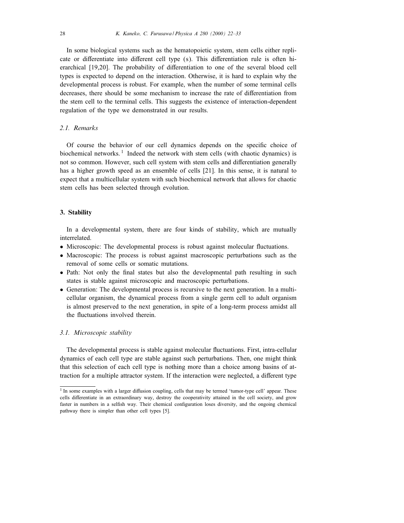In some biological systems such as the hematopoietic system, stem cells either replicate or differentiate into different cell type (s). This differentiation rule is often hierarchical [19,20]. The probability of differentiation to one of the several blood cell types is expected to depend on the interaction. Otherwise, it is hard to explain why the developmental process is robust. For example, when the number of some terminal cells decreases, there should be some mechanism to increase the rate of differentiation from the stem cell to the terminal cells. This suggests the existence of interaction-dependent regulation of the type we demonstrated in our results.

# 2.1. Remarks

Of course the behavior of our cell dynamics depends on the specific choice of biochemical networks.  $\frac{1}{1}$  Indeed the network with stem cells (with chaotic dynamics) is not so common. However, such cell system with stem cells and differentiation generally has a higher growth speed as an ensemble of cells [21]. In this sense, it is natural to expect that a multicellular system with such biochemical network that allows for chaotic stem cells has been selected through evolution.

#### 3. Stability

In a developmental system, there are four kinds of stability, which are mutually interrelated.

- Microscopic: The developmental process is robust against molecular fluctuations.
- Macroscopic: The process is robust against macroscopic perturbations such as the removal of some cells or somatic mutations.
- Path: Not only the final states but also the developmental path resulting in such states is stable against microscopic and macroscopic perturbations.
- Generation: The developmental process is recursive to the next generation. In a multicellular organism, the dynamical process from a single germ cell to adult organism is almost preserved to the next generation, in spite of a long-term process amidst all the fluctuations involved therein

#### 3.1. Microscopic stability

The developmental process is stable against molecular fluctuations. First, intra-cellular dynamics of each cell type are stable against such perturbations. Then, one might think that this selection of each cell type is nothing more than a choice among basins of attraction for a multiple attractor system. If the interaction were neglected, a different type

 $<sup>1</sup>$  In some examples with a larger diffusion coupling, cells that may be termed 'tumor-type cell' appear. These</sup> cells differentiate in an extraordinary way, destroy the cooperativity attained in the cell society, and grow faster in numbers in a selfish way. Their chemical configuration loses diversity, and the ongoing chemical pathway there is simpler than other cell types [5].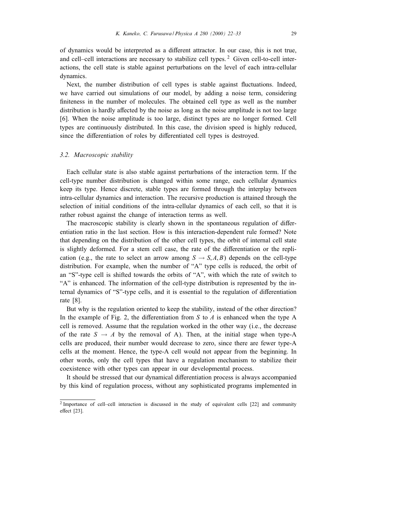of dynamics would be interpreted as a different attractor. In our case, this is not true, and cell–cell interactions are necessary to stabilize cell types.<sup>2</sup> Given cell-to-cell interactions, the cell state is stable against perturbations on the level of each intra-cellular dynamics.

Next, the number distribution of cell types is stable against fluctuations. Indeed, we have carried out simulations of our model, by adding a noise term, considering finiteness in the number of molecules. The obtained cell type as well as the number distribution is hardly affected by the noise as long as the noise amplitude is not too large [6]. When the noise amplitude is too large, distinct types are no longer formed. Cell types are continuously distributed. In this case, the division speed is highly reduced, since the differentiation of roles by differentiated cell types is destroyed.

#### 3.2. Macroscopic stability

Each cellular state is also stable against perturbations of the interaction term. If the cell-type number distribution is changed within some range, each cellular dynamics keep its type. Hence discrete, stable types are formed through the interplay between intra-cellular dynamics and interaction. The recursive production is attained through the selection of initial conditions of the intra-cellular dynamics of each cell, so that it is rather robust against the change of interaction terms as well.

The macroscopic stability is clearly shown in the spontaneous regulation of differentiation ratio in the last section. How is this interaction-dependent rule formed? Note that depending on the distribution of the other cell types, the orbit of internal cell state is slightly deformed. For a stem cell case, the rate of the differentiation or the replication (e.g., the rate to select an arrow among  $S \rightarrow S, A, B$ ) depends on the cell-type distribution. For example, when the number of "A" type cells is reduced, the orbit of an "S"-type cell is shifted towards the orbits of "A", with which the rate of switch to "A" is enhanced. The information of the cell-type distribution is represented by the internal dynamics of "S"-type cells, and it is essential to the regulation of dierentiation rate [8].

But why is the regulation oriented to keep the stability, instead of the other direction? In the example of Fig. 2, the differentiation from S to A is enhanced when the type A cell is removed. Assume that the regulation worked in the other way (i.e., the decrease of the rate  $S \rightarrow A$  by the removal of A). Then, at the initial stage when type-A cells are produced, their number would decrease to zero, since there are fewer type-A cells at the moment. Hence, the type-A cell would not appear from the beginning. In other words, only the cell types that have a regulation mechanism to stabilize their coexistence with other types can appear in our developmental process.

It should be stressed that our dynamical differentiation process is always accompanied by this kind of regulation process, without any sophisticated programs implemented in

<sup>2</sup> Importance of cell–cell interaction is discussed in the study of equivalent cells [22] and community effect  $[23]$ .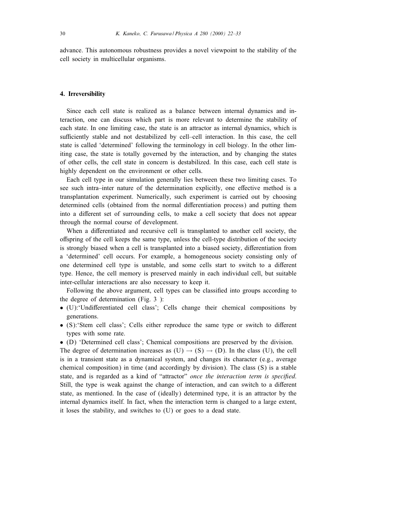advance. This autonomous robustness provides a novel viewpoint to the stability of the cell society in multicellular organisms.

# 4. Irreversibility

Since each cell state is realized as a balance between internal dynamics and interaction, one can discuss which part is more relevant to determine the stability of each state. In one limiting case, the state is an attractor as internal dynamics, which is sufficiently stable and not destabilized by cell-cell interaction. In this case, the cell state is called 'determined' following the terminology in cell biology. In the other limiting case, the state is totally governed by the interaction, and by changing the states of other cells, the cell state in concern is destabilized. In this case, each cell state is highly dependent on the environment or other cells.

Each cell type in our simulation generally lies between these two limiting cases. To see such intra–inter nature of the determination explicitly, one effective method is a transplantation experiment. Numerically, such experiment is carried out by choosing determined cells (obtained from the normal differentiation process) and putting them into a different set of surrounding cells, to make a cell society that does not appear through the normal course of development.

When a differentiated and recursive cell is transplanted to another cell society, the offspring of the cell keeps the same type, unless the cell-type distribution of the society is strongly biased when a cell is transplanted into a biased society, differentiation from a 'determined' cell occurs. For example, a homogeneous society consisting only of one determined cell type is unstable, and some cells start to switch to a different type. Hence, the cell memory is preserved mainly in each individual cell, but suitable inter-cellular interactions are also necessary to keep it.

Following the above argument, cell types can be classified into groups according to the degree of determination (Fig. 3 ):

- (U):'Undifferentiated cell class'; Cells change their chemical compositions by generations.
- (S): 'Stem cell class'; Cells either reproduce the same type or switch to different types with some rate.
- (D) 'Determined cell class'; Chemical compositions are preserved by the division.

The degree of determination increases as  $(U) \rightarrow (S) \rightarrow (D)$ . In the class (U), the cell is in a transient state as a dynamical system, and changes its character (e.g., average chemical composition) in time (and accordingly by division). The class (S) is a stable state, and is regarded as a kind of "attractor" once the interaction term is specified. Still, the type is weak against the change of interaction, and can switch to a different state, as mentioned. In the case of (ideally) determined type, it is an attractor by the internal dynamics itself. In fact, when the interaction term is changed to a large extent, it loses the stability, and switches to (U) or goes to a dead state.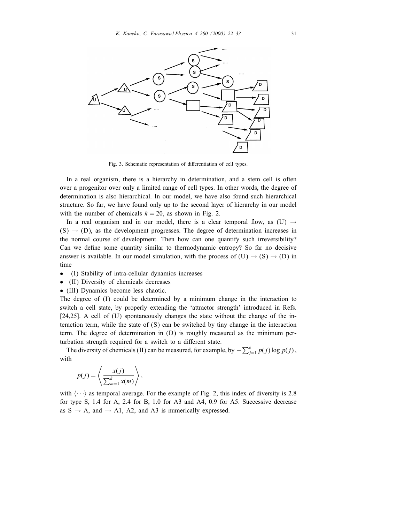

Fig. 3. Schematic representation of differentiation of cell types.

In a real organism, there is a hierarchy in determination, and a stem cell is often over a progenitor over only a limited range of cell types. In other words, the degree of determination is also hierarchical. In our model, we have also found such hierarchical structure. So far, we have found only up to the second layer of hierarchy in our model with the number of chemicals  $k = 20$ , as shown in Fig. 2.

In a real organism and in our model, there is a clear temporal flow, as (U)  $\rightarrow$  $(S) \rightarrow (D)$ , as the development progresses. The degree of determination increases in the normal course of development. Then how can one quantify such irreversibility? Can we define some quantity similar to thermodynamic entropy? So far no decisive answer is available. In our model simulation, with the process of (U)  $\rightarrow$  (S)  $\rightarrow$  (D) in time

- (I) Stability of intra-cellular dynamics increases
- (II) Diversity of chemicals decreases
- (III) Dynamics become less chaotic.

The degree of (I) could be determined by a minimum change in the interaction to switch a cell state, by properly extending the 'attractor strength' introduced in Refs. [24,25]. A cell of (U) spontaneously changes the state without the change of the interaction term, while the state of (S) can be switched by tiny change in the interaction term. The degree of determination in (D) is roughly measured as the minimum perturbation strength required for a switch to a different state.

The diversity of chemicals (II) can be measured, for example, by  $-\sum_{j=1}^{k} p(j) \log p(j)$ , with

$$
p(j) = \left\langle \frac{x(j)}{\sum_{m=1}^{k} x(m)} \right\rangle,
$$

with  $\langle \cdots \rangle$  as temporal average. For the example of Fig. 2, this index of diversity is 2.8 for type S, 1.4 for A, 2.4 for B, 1.0 for A3 and A4, 0.9 for A5. Successive decrease as  $S \rightarrow A$ , and  $\rightarrow A1$ , A2, and A3 is numerically expressed.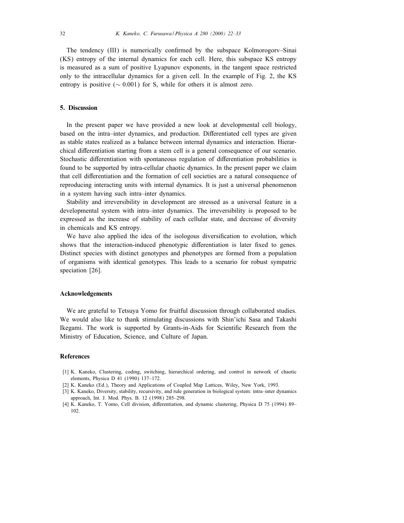The tendency (III) is numerically confirmed by the subspace Kolmorogorv-Sinai (KS) entropy of the internal dynamics for each cell. Here, this subspace KS entropy is measured as a sum of positive Lyapunov exponents, in the tangent space restricted only to the intracellular dynamics for a given cell. In the example of Fig. 2, the KS entropy is positive ( $\sim 0.001$ ) for S, while for others it is almost zero.

## 5. Discussion

In the present paper we have provided a new look at developmental cell biology, based on the intra–inter dynamics, and production. Differentiated cell types are given as stable states realized as a balance between internal dynamics and interaction. Hierarchical differentiation starting from a stem cell is a general consequence of our scenario. Stochastic differentiation with spontaneous regulation of differentiation probabilities is found to be supported by intra-cellular chaotic dynamics. In the present paper we claim that cell differentiation and the formation of cell societies are a natural consequence of reproducing interacting units with internal dynamics. It is just a universal phenomenon in a system having such intra–inter dynamics.

Stability and irreversibility in development are stressed as a universal feature in a developmental system with intra–inter dynamics. The irreversibility is proposed to be expressed as the increase of stability of each cellular state, and decrease of diversity in chemicals and KS entropy.

We have also applied the idea of the isologous diversification to evolution, which shows that the interaction-induced phenotypic differentiation is later fixed to genes. Distinct species with distinct genotypes and phenotypes are formed from a population of organisms with identical genotypes. This leads to a scenario for robust sympatric speciation [26].

#### Acknowledgements

We are grateful to Tetsuya Yomo for fruitful discussion through collaborated studies. We would also like to thank stimulating discussions with Shin'ichi Sasa and Takashi Ikegami. The work is supported by Grants-in-Aids for Scientic Research from the Ministry of Education, Science, and Culture of Japan.

## **References**

- [1] K. Kaneko, Clustering, coding, switching, hierarchical ordering, and control in network of chaotic elements, Physica D 41 (1990) 137–172.
- [2] K. Kaneko (Ed.), Theory and Applications of Coupled Map Lattices, Wiley, New York, 1993.
- [3] K. Kaneko, Diversity, stability, recursivity, and rule generation in biological system: intra–inter dynamics approach, Int. J. Mod. Phys. B. 12 (1998) 285–298.
- [4] K. Kaneko, T. Yomo, Cell division, differentiation, and dynamic clustering, Physica D 75 (1994) 89– 102.